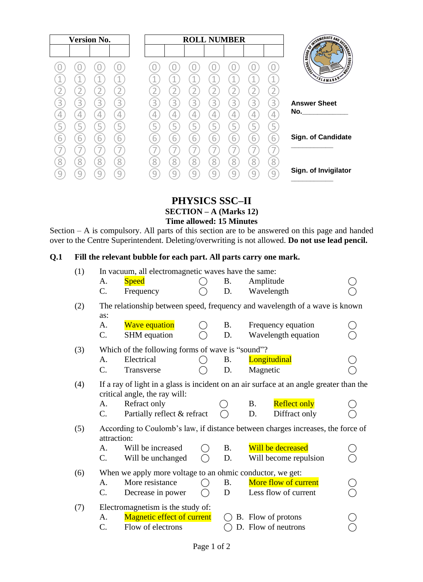|                                                                                                                                                                                                                                                       | <b>ROLL NUMBER</b>  |             |        |                |        |             |        | <b>Version No.</b> |             |        |   |
|-------------------------------------------------------------------------------------------------------------------------------------------------------------------------------------------------------------------------------------------------------|---------------------|-------------|--------|----------------|--------|-------------|--------|--------------------|-------------|--------|---|
|                                                                                                                                                                                                                                                       |                     |             |        |                |        |             |        |                    |             |        |   |
| <b>SURVEY AND AND ACTION</b><br>SLAMABAD                                                                                                                                                                                                              | 4                   |             |        |                |        |             |        |                    |             |        |   |
| <b>Answer Sheet</b><br>No. And the contract of the contract of the contract of the contract of the contract of the contract of the contract of the contract of the contract of the contract of the contract of the contract of the contract of the co | 3<br>4<br>5         | 3<br>4<br>5 | 3      | $\overline{3}$ | 3<br>4 | 3<br>4<br>5 | 3<br>4 | 3<br>4<br>5        | 3<br>4<br>5 | 3<br>5 | Q |
| <b>Sign. of Candidate</b>                                                                                                                                                                                                                             | 6                   | 6           | ь      | 6<br>8         | 6<br>8 | 6           | 6<br>8 | 6<br>8             | 6           | 6<br>8 |   |
| Sign. of Invigilator                                                                                                                                                                                                                                  | $\overline{8}$<br>9 | 8           | 8<br>Ч | Ч              | Q      | 8<br>q      |        | q                  | 8<br>q      |        |   |

# **PHYSICS SSC–II SECTION – A (Marks 12) Time allowed: 15 Minutes**

Section – A is compulsory. All parts of this section are to be answered on this page and handed over to the Centre Superintendent. Deleting/overwriting is not allowed. **Do not use lead pencil.**

# **Q.1 Fill the relevant bubble for each part. All parts carry one mark.**

| (1) | In vacuum, all electromagnetic waves have the same:       |                                                  |       |           |                                                                                         |  |
|-----|-----------------------------------------------------------|--------------------------------------------------|-------|-----------|-----------------------------------------------------------------------------------------|--|
|     | A.                                                        | <b>Speed</b>                                     |       | <b>B.</b> | Amplitude                                                                               |  |
|     | C.                                                        | Frequency                                        |       | D.        | Wavelength                                                                              |  |
| (2) | as:                                                       |                                                  |       |           | The relationship between speed, frequency and wavelength of a wave is known             |  |
|     | A.<br>C.                                                  | <b>Wave equation</b><br>SHM equation             |       | B.<br>D.  | Frequency equation<br>Wavelength equation                                               |  |
| (3) |                                                           | Which of the following forms of wave is "sound"? |       |           |                                                                                         |  |
|     | А.                                                        | Electrical                                       |       | Β.        | Longitudinal                                                                            |  |
|     | $C$ .                                                     | Transverse                                       |       | D.        | Magnetic                                                                                |  |
| (4) |                                                           | critical angle, the ray will:                    |       |           | If a ray of light in a glass is incident on an air surface at an angle greater than the |  |
|     | A.                                                        | Refract only                                     |       |           | <b>Reflect only</b><br><b>B.</b>                                                        |  |
|     | C.                                                        | Partially reflect & refract                      |       |           | Diffract only<br>D.                                                                     |  |
| (5) | attraction:                                               |                                                  |       |           | According to Coulomb's law, if distance between charges increases, the force of         |  |
|     | A.                                                        | Will be increased                                |       | <b>B.</b> | Will be decreased                                                                       |  |
|     | $\mathcal{C}$ .                                           | Will be unchanged                                |       | D.        | Will become repulsion                                                                   |  |
| (6) | When we apply more voltage to an ohmic conductor, we get: |                                                  |       |           |                                                                                         |  |
|     | А.                                                        | More resistance                                  |       | B.        | More flow of current                                                                    |  |
|     | $C_{\cdot}$                                               | Decrease in power                                | $($ ) | D         | Less flow of current                                                                    |  |
| (7) |                                                           | Electromagnetism is the study of:                |       |           |                                                                                         |  |
|     | A.                                                        | <b>Magnetic effect of current</b>                |       |           | B. Flow of protons                                                                      |  |
|     | C.                                                        | Flow of electrons                                |       |           | D. Flow of neutrons                                                                     |  |
|     |                                                           |                                                  |       |           |                                                                                         |  |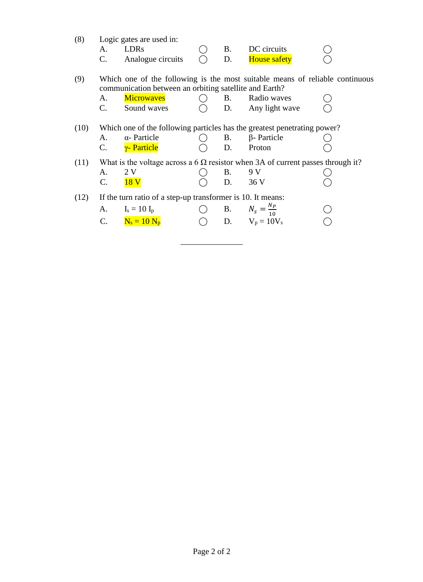| (8)  | A.<br>C. | Logic gates are used in:<br><b>LDRs</b><br>Analogue circuits | B.<br>D.  | DC circuits<br><b>House safety</b>                                                     |  |
|------|----------|--------------------------------------------------------------|-----------|----------------------------------------------------------------------------------------|--|
| (9)  |          |                                                              |           | Which one of the following is the most suitable means of reliable continuous           |  |
|      |          | communication between an orbiting satellite and Earth?       |           |                                                                                        |  |
|      | А.       | <b>Microwaves</b>                                            | <b>B.</b> | Radio waves                                                                            |  |
|      | C.       | Sound waves                                                  | D.        | Any light wave                                                                         |  |
| (10) |          |                                                              |           | Which one of the following particles has the greatest penetrating power?               |  |
|      | А.       | $\alpha$ - Particle                                          | <b>B.</b> | $\beta$ - Particle                                                                     |  |
|      | C.       | <u>γ- Particle</u>                                           | D.        | Proton                                                                                 |  |
| (11) |          |                                                              |           | What is the voltage across a 6 $\Omega$ resistor when 3A of current passes through it? |  |
|      | A.       | 2 V                                                          | <b>B.</b> | 9 V                                                                                    |  |
|      | C.       | 18 V                                                         | D.        | 36 V                                                                                   |  |
| (12) |          | If the turn ratio of a step-up transformer is 10. It means:  |           |                                                                                        |  |
|      |          | A. $I_s = 10 I_p$                                            |           | <b>B.</b> $N_s = \frac{N_p}{10}$                                                       |  |
|      |          | C. $N_s = 10 N_p$                                            |           | $O$ D. $V_p = 10V_s$                                                                   |  |

\_\_\_\_\_\_\_\_\_\_\_\_\_\_\_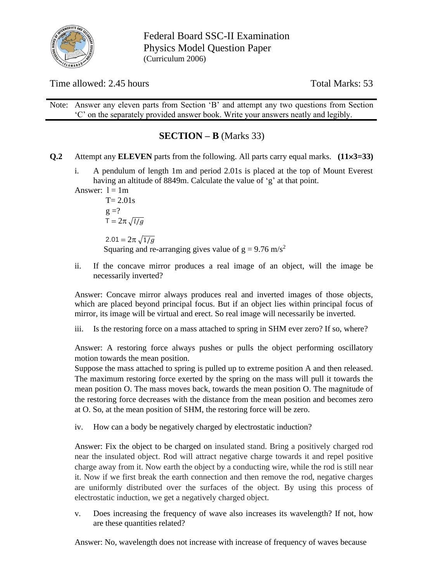

Federal Board SSC-II Examination Physics Model Question Paper (Curriculum 2006)

Time allowed: 2.45 hours Total Marks: 53

Note: Answer any eleven parts from Section 'B' and attempt any two questions from Section 'C' on the separately provided answer book. Write your answers neatly and legibly.

# **SECTION – B** (Marks 33)

- **Q.2** Attempt any **ELEVEN** parts from the following. All parts carry equal marks. **(113=33)**
	- i. A pendulum of length 1m and period 2.01s is placed at the top of Mount Everest having an altitude of 8849m. Calculate the value of 'g' at that point.

Answer:  $l = 1m$ 

 $T = 2.01s$  $g = ?$  $\overline{T} = 2\pi \sqrt{l/g}$ 2.01 =  $2\pi \sqrt{1/g}$ Squaring and re-arranging gives value of  $g = 9.76$  m/s<sup>2</sup>

ii. If the concave mirror produces a real image of an object, will the image be necessarily inverted?

Answer: Concave mirror always produces real and inverted images of those objects, which are placed beyond principal focus. But if an object lies within principal focus of mirror, its image will be virtual and erect. So real image will necessarily be inverted.

iii. Is the restoring force on a mass attached to spring in SHM ever zero? If so, where?

Answer: A restoring force always pushes or pulls the object performing oscillatory motion towards the mean position.

Suppose the mass attached to spring is pulled up to extreme position A and then released. The maximum restoring force exerted by the spring on the mass will pull it towards the mean position O. The mass moves back, towards the mean position O. The magnitude of the restoring force decreases with the distance from the mean position and becomes zero at O. So, at the mean position of SHM, the restoring force will be zero.

iv. How can a body be negatively charged by electrostatic induction?

Answer: Fix the object to be charged on insulated stand. Bring a positively charged rod near the insulated object. Rod will attract negative charge towards it and repel positive charge away from it. Now earth the object by a conducting wire, while the rod is still near it. Now if we first break the earth connection and then remove the rod, negative charges are uniformly distributed over the surfaces of the object. By using this process of electrostatic induction, we get a negatively charged object.

v. Does increasing the frequency of wave also increases its wavelength? If not, how are these quantities related?

Answer: No, wavelength does not increase with increase of frequency of waves because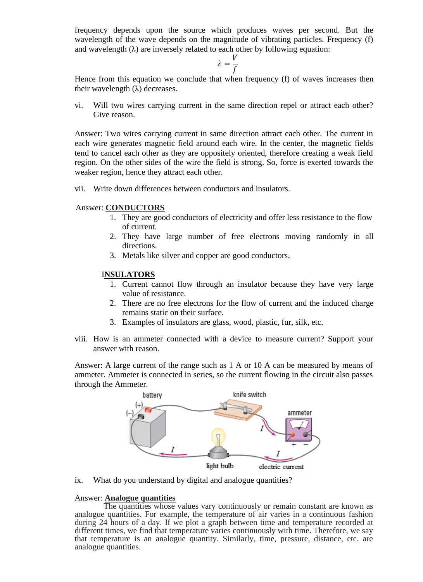frequency depends upon the source which produces waves per second. But the wavelength of the wave depends on the magnitude of vibrating particles. Frequency (f) and wavelength  $(\lambda)$  are inversely related to each other by following equation:

$$
\lambda = \frac{V}{f}
$$

Hence from this equation we conclude that when frequency (f) of waves increases then their wavelength  $(\lambda)$  decreases.

vi. Will two wires carrying current in the same direction repel or attract each other? Give reason.

Answer: Two wires carrying current in same direction attract each other. The current in each wire generates magnetic field around each wire. In the center, the magnetic fields tend to cancel each other as they are oppositely oriented, therefore creating a weak field region. On the other sides of the wire the field is strong. So, force is exerted towards the weaker region, hence they attract each other.

vii. Write down differences between conductors and insulators.

### Answer: **CONDUCTORS**

- 1. They are good conductors of electricity and offer less resistance to the flow of current.
- 2. They have large number of free electrons moving randomly in all directions.
- 3. Metals like silver and copper are good conductors.

### I**NSULATORS**

- 1. Current cannot flow through an insulator because they have very large value of resistance.
- 2. There are no free electrons for the flow of current and the induced charge remains static on their surface.
- 3. Examples of insulators are glass, wood, plastic, fur, silk, etc.
- viii. How is an ammeter connected with a device to measure current? Support your answer with reason.

Answer: A large current of the range such as 1 A or 10 A can be measured by means of ammeter. Ammeter is connected in series, so the current flowing in the circuit also passes through the Ammeter.



ix. What do you understand by digital and analogue quantities?

#### Answer: **Analogue quantities**

 The quantities whose values vary continuously or remain constant are known as analogue quantities. For example, the temperature of air varies in a continuous fashion during 24 hours of a day. If we plot a graph between time and temperature recorded at different times, we find that temperature varies continuously with time. Therefore, we say that temperature is an analogue quantity. Similarly, time, pressure, distance, etc. are analogue quantities.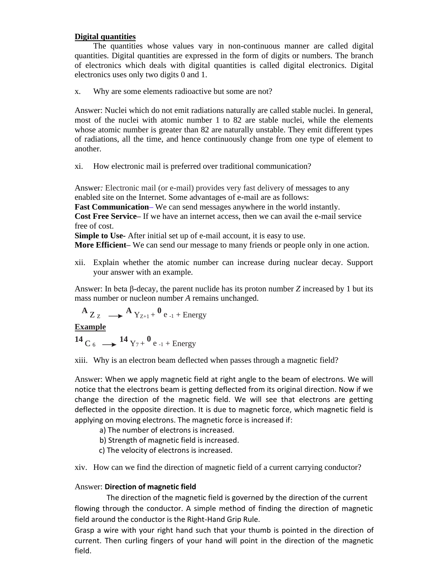### **Digital quantities**

The quantities whose values vary in non-continuous manner are called digital quantities. Digital quantities are expressed in the form of digits or numbers. The branch of electronics which deals with digital quantities is called digital electronics. Digital electronics uses only two digits 0 and 1.

x. Why are some elements radioactive but some are not?

Answer: Nuclei which do not emit radiations naturally are called stable nuclei. In general, most of the nuclei with atomic number 1 to 82 are stable nuclei, while the elements whose atomic number is greater than 82 are naturally unstable. They emit different types of radiations, all the time, and hence continuously change from one type of element to another.

xi. How electronic mail is preferred over traditional communication?

Answer*:* Electronic mail (or e-mail) provides very fast delivery of messages to any enabled site on the Internet. Some advantages of e-mail are as follows:

**Fast Communication–** We can send messages anywhere in the world instantly.

**Cost Free Service–** If we have an internet access, then we can avail the e-mail service free of cost.

**Simple to Use-** After initial set up of e-mail account, it is easy to use.

**More Efficient–** We can send our message to many friends or people only in one action.

xii. Explain whether the atomic number can increase during nuclear decay. Support your answer with an example.

Answer: In beta β-decay, the parent nuclide has its proton number *Z* increased by 1 but its mass number or nucleon number *A* remains unchanged.

$$
A_{Z_Z} \longrightarrow A_{Y_{Z+1}+} 0_{e_{-1} + \text{Energy}}
$$

**Example**

**14** C<sub>6</sub>  $\longrightarrow$  **<sup>14</sup>** Y<sub>7</sub> + <sup>0</sup> e<sub>-1</sub> + Energy

xiii. Why is an electron beam deflected when passes through a magnetic field?

Answer: When we apply magnetic field at right angle to the beam of electrons. We will notice that the electrons beam is getting deflected from its original direction. Now if we change the direction of the magnetic field. We will see that electrons are getting deflected in the opposite direction. It is due to magnetic force, which magnetic field is applying on moving electrons. The magnetic force is increased if:

a) The number of electrons is increased.

b) Strength of magnetic field is increased.

c) The velocity of electrons is increased.

xiv. How can we find the direction of magnetic field of a current carrying conductor?

# Answer: **Direction of magnetic field**

The direction of the magnetic field is governed by the direction of the current flowing through the conductor. A simple method of finding the direction of magnetic field around the conductor is the Right-Hand Grip Rule.

Grasp a wire with your right hand such that your thumb is pointed in the direction of current. Then curling fingers of your hand will point in the direction of the magnetic field.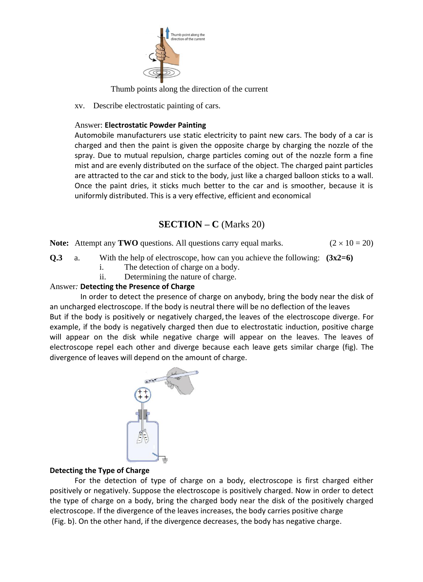

Thumb points along the direction of the current

xv. Describe electrostatic painting of cars.

# Answer: **Electrostatic Powder Painting**

Automobile manufacturers use static electricity to paint new cars. The body of a car is charged and then the paint is given the opposite charge by charging the nozzle of the spray. Due to mutual repulsion, charge particles coming out of the nozzle form a fine mist and are evenly distributed on the surface of the object. The charged paint particles are attracted to the car and stick to the body, just like a charged balloon sticks to a wall. Once the paint dries, it sticks much better to the car and is smoother, because it is uniformly distributed. This is a very effective, efficient and economical

# **SECTION – C** (Marks 20)

**Note:** Attempt any **TWO** questions. All questions carry equal marks.  $(2 \times 10 = 20)$ 

**Q.3** a. With the help of electroscope, how can you achieve the following: **(3x2=6)**

- i. The detection of charge on a body.
- ii. Determining the nature of charge.

# Answer*:* **Detecting the Presence of Charge**

 In order to detect the presence of charge on anybody, bring the body near the disk of an uncharged electroscope. If the body is neutral there will be no deflection of the leaves But if the body is positively or negatively charged, the leaves of the electroscope diverge. For example, if the body is negatively charged then due to electrostatic induction, positive charge will appear on the disk while negative charge will appear on the leaves. The leaves of electroscope repel each other and diverge because each leave gets similar charge (fig). The divergence of leaves will depend on the amount of charge.



# **Detecting the Type of Charge**

For the detection of type of charge on a body, electroscope is first charged either positively or negatively. Suppose the electroscope is positively charged. Now in order to detect the type of charge on a body, bring the charged body near the disk of the positively charged electroscope. If the divergence of the leaves increases, the body carries positive charge (Fig. b). On the other hand, if the divergence decreases, the body has negative charge.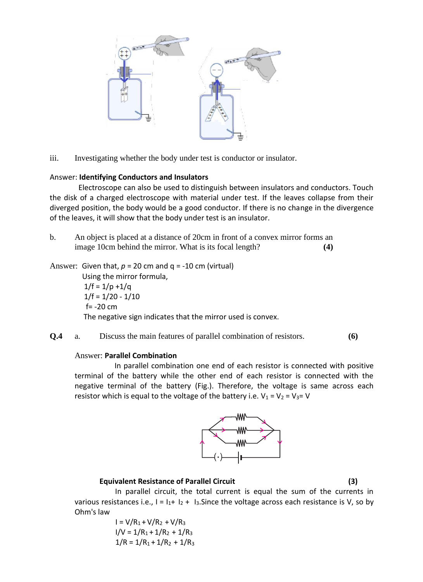

iii. Investigating whether the body under test is conductor or insulator.

#### Answer: **Identifying Conductors and Insulators**

 Electroscope can also be used to distinguish between insulators and conductors. Touch the disk of a charged electroscope with material under test. If the leaves collapse from their diverged position, the body would be a good conductor. If there is no change in the divergence of the leaves, it will show that the body under test is an insulator.

b. An object is placed at a distance of 20cm in front of a convex mirror forms an image 10cm behind the mirror. What is its focal length? **(4)**

Answer: Given that,  $p = 20$  cm and  $q = -10$  cm (virtual)

 Using the mirror formula,  $1/f = 1/p + 1/q$  $1/f = 1/20 - 1/10$  $f = -20$  cm The negative sign indicates that the mirror used is convex.

**Q.4** a. Discuss the main features of parallel combination of resistors. **(6)**

#### Answer: **Parallel Combination**

 In parallel combination one end of each resistor is connected with positive terminal of the battery while the other end of each resistor is connected with the negative terminal of the battery (Fig.). Therefore, the voltage is same across each resistor which is equal to the voltage of the battery i.e.  $V_1 = V_2 = V_3 = V$ 



#### **Equivalent Resistance of Parallel Circuit (3)**

In parallel circuit, the total current is equal the sum of the currents in various resistances i.e.,  $I = I_1 + I_2 + I_3$ . Since the voltage across each resistance is V, so by Ohm's law

$$
I = V/R1 + V/R2 + V/R3
$$
  

$$
I/V = 1/R1 + 1/R2 + 1/R3
$$
  

$$
1/R = 1/R1 + 1/R2 + 1/R3
$$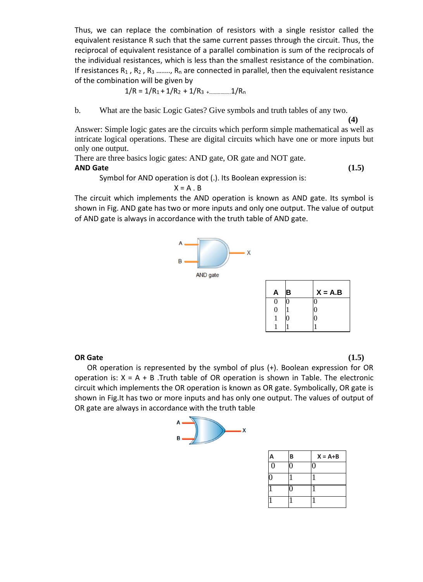Thus, we can replace the combination of resistors with a single resistor called the equivalent resistance R such that the same current passes through the circuit. Thus, the reciprocal of equivalent resistance of a parallel combination is sum of the reciprocals of the individual resistances, which is less than the smallest resistance of the combination. If resistances  $R_1$ ,  $R_2$ ,  $R_3$  .......,  $R_n$  are connected in parallel, then the equivalent resistance of the combination will be given by

$$
1/R = 1/R_1 + 1/R_2 + 1/R_3 + \dots + 1/R_n
$$

b. What are the basic Logic Gates? Give symbols and truth tables of any two.

**(4)**

Answer: Simple logic gates are the circuits which perform simple mathematical as well as intricate logical operations. These are digital circuits which have one or more inputs but only one output.

There are three basics logic gates: AND gate, OR gate and NOT gate.

# **AND Gate (1.5)**

Symbol for AND operation is dot (.). Its Boolean expression is:

#### $X = A \cdot B$

The circuit which implements the AND operation is known as AND gate. Its symbol is shown in Fig. AND gate has two or more inputs and only one output. The value of output of AND gate is always in accordance with the truth table of AND gate.



| A | в | $X = A.B$ |
|---|---|-----------|
| 0 |   |           |
| 0 |   | 0         |
|   |   | N         |
|   |   |           |

### **OR Gate (1.5)**

OR operation is represented by the symbol of plus (+). Boolean expression for OR operation is:  $X = A + B$ . Truth table of OR operation is shown in Table. The electronic circuit which implements the OR operation is known as OR gate. Symbolically, OR gate is shown in Fig.It has two or more inputs and has only one output. The values of output of OR gate are always in accordance with the truth table



| A | B | $X = A + B$ |
|---|---|-------------|
| 0 |   |             |
|   |   |             |
|   |   |             |
|   |   |             |